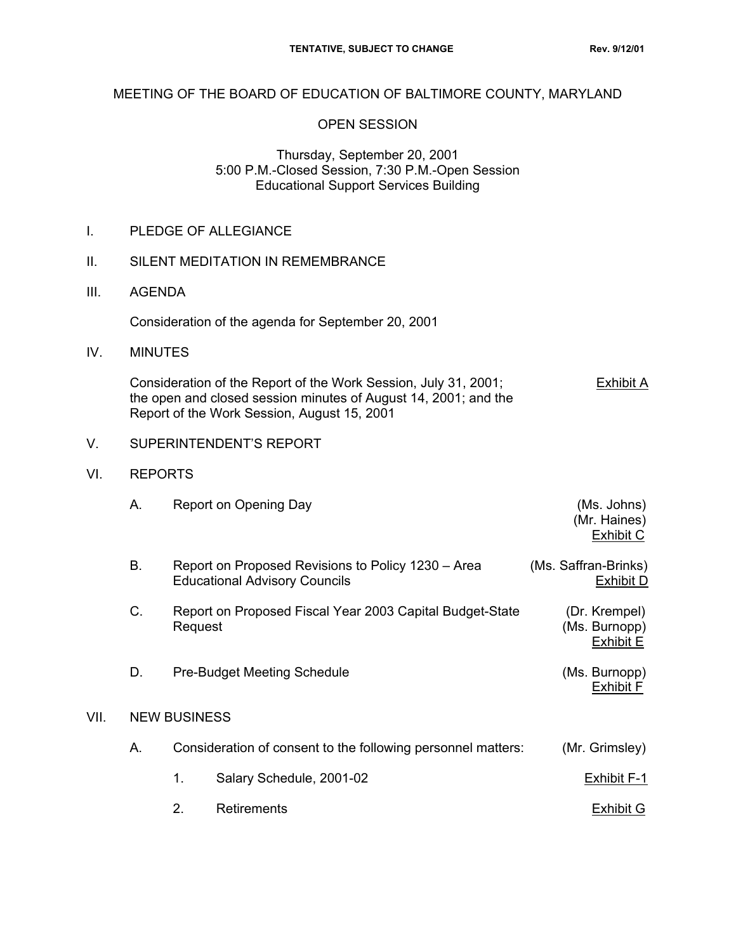## MEETING OF THE BOARD OF EDUCATION OF BALTIMORE COUNTY, MARYLAND

## OPEN SESSION

#### Thursday, September 20, 2001 5:00 P.M.-Closed Session, 7:30 P.M.-Open Session Educational Support Services Building

|  | PLEDGE OF ALLEGIANCE |
|--|----------------------|
|--|----------------------|

- II. SILENT MEDITATION IN REMEMBRANCE
- III. AGENDA

Consideration of the agenda for September 20, 2001

IV. MINUTES

 Consideration of the Report of the Work Session, July 31, 2001; Exhibit A the open and closed session minutes of August 14, 2001; and the Report of the Work Session, August 15, 2001

- V. SUPERINTENDENT'S REPORT
- VI. REPORTS
- A. Report on Opening Day (Ms. Johns) (Mr. Haines) exhibit Contract of the Contract of the Contract of the Contract of the Contract of the Contract of the Contract of the Contract of the Contract of the Contract of the Contract of the Contract of the Contract of the Contra B. Report on Proposed Revisions to Policy 1230 – Area (Ms. Saffran-Brinks) Educational Advisory Councils Exhibit D C. Report on Proposed Fiscal Year 2003 Capital Budget-State (Dr. Krempel)
- Request **Contract Contract Contract Contract Contract Contract Contract Contract Contract Contract Contract Contract Contract Contract Contract Contract Contract Contract Contract Contract Contract Contract Contract Contra** exhibit Exhibit Exhibit Exhibit Exhibit Exhibit Exhibit Exhibit Exhibit Exhibit E
- D. Pre-Budget Meeting Schedule (Ms. Burnopp) exhibit Factor of the contract of the contract of the contract of the contract of the contract of the contract of the contract of the contract of the contract of the contract of the contract of the contract of the contract

#### VII. NEW BUSINESS

- A. Consideration of consent to the following personnel matters: (Mr. Grimsley)
	- 1. Salary Schedule, 2001-02 **Exhibit F-1**
	- 2. Retirements **Exhibit G**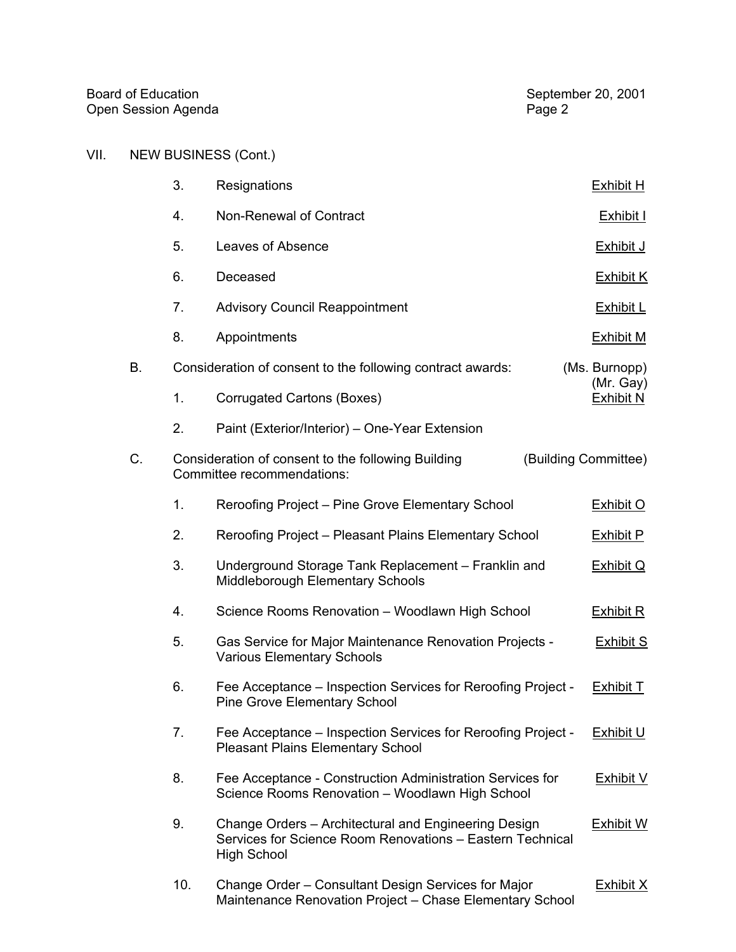# VII. NEW BUSINESS (Cont.)

|    | 3.  | Resignations                                                                                                                            | <b>Exhibit H</b>              |
|----|-----|-----------------------------------------------------------------------------------------------------------------------------------------|-------------------------------|
|    | 4.  | Non-Renewal of Contract                                                                                                                 | <b>Exhibit I</b>              |
|    | 5.  | Leaves of Absence                                                                                                                       | Exhibit J                     |
|    | 6.  | Deceased                                                                                                                                | <b>Exhibit K</b>              |
|    | 7.  | <b>Advisory Council Reappointment</b>                                                                                                   | Exhibit L                     |
|    | 8.  | Appointments                                                                                                                            | <b>Exhibit M</b>              |
| В. |     | Consideration of consent to the following contract awards:                                                                              | (Ms. Burnopp)                 |
|    | 1.  | Corrugated Cartons (Boxes)                                                                                                              | (Mr. Gay)<br><b>Exhibit N</b> |
|    | 2.  | Paint (Exterior/Interior) - One-Year Extension                                                                                          |                               |
| C. |     | Consideration of consent to the following Building<br>Committee recommendations:                                                        | (Building Committee)          |
|    | 1.  | Reroofing Project – Pine Grove Elementary School                                                                                        | Exhibit O                     |
|    | 2.  | Reroofing Project - Pleasant Plains Elementary School                                                                                   | <b>Exhibit P</b>              |
|    | 3.  | Underground Storage Tank Replacement - Franklin and<br>Middleborough Elementary Schools                                                 | <b>Exhibit Q</b>              |
|    | 4.  | Science Rooms Renovation - Woodlawn High School                                                                                         | <b>Exhibit R</b>              |
|    | 5.  | Gas Service for Major Maintenance Renovation Projects -<br><b>Various Elementary Schools</b>                                            | <b>Exhibit S</b>              |
|    | 6.  | Fee Acceptance - Inspection Services for Reroofing Project -<br><b>Pine Grove Elementary School</b>                                     | <b>Exhibit T</b>              |
|    | 7.  | Fee Acceptance – Inspection Services for Reroofing Project -<br><b>Pleasant Plains Elementary School</b>                                | <b>Exhibit U</b>              |
|    | 8.  | Fee Acceptance - Construction Administration Services for<br>Science Rooms Renovation - Woodlawn High School                            | <b>Exhibit V</b>              |
|    | 9.  | Change Orders - Architectural and Engineering Design<br>Services for Science Room Renovations - Eastern Technical<br><b>High School</b> | <b>Exhibit W</b>              |
|    | 10. | Change Order – Consultant Design Services for Major<br>Maintenance Renovation Project - Chase Elementary School                         | <b>Exhibit X</b>              |